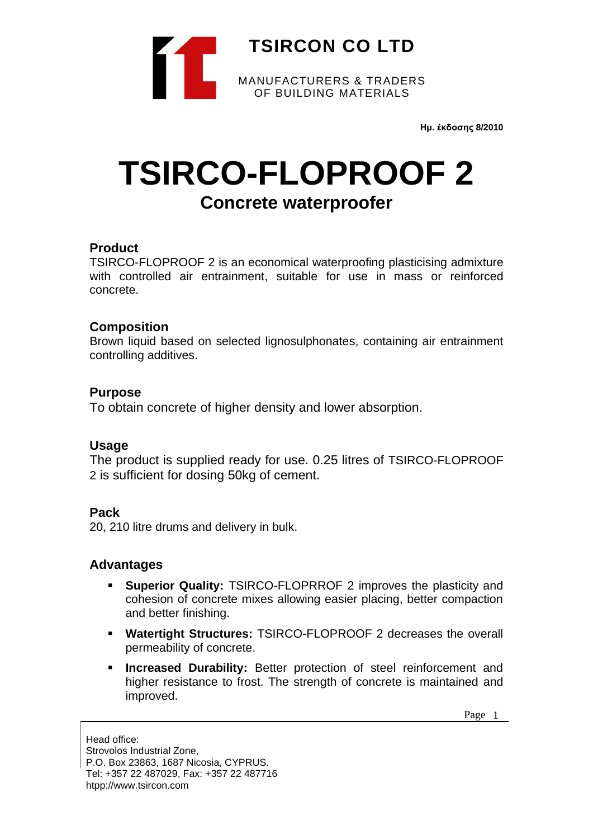

**Ημ. έκδοσης 8/2010**

# **TSIRCO-FLOPROOF 2**

# **Concrete waterproofer**

#### **Product**

TSIRCO-FLOPROOF 2 is an economical waterproofing plasticising admixture with controlled air entrainment, suitable for use in mass or reinforced concrete.

#### **Composition**

Brown liquid based on selected lignosulphonates, containing air entrainment controlling additives.

#### **Purpose**

To obtain concrete of higher density and lower absorption.

#### **Usage**

The product is supplied ready for use. 0.25 litres of TSIRCO-FLOPROOF 2 is sufficient for dosing 50kg of cement.

#### **Pack**

20, 210 litre drums and delivery in bulk.

# **Advantages**

- **Superior Quality: TSIRCO-FLOPRROF 2 improves the plasticity and** cohesion of concrete mixes allowing easier placing, better compaction and better finishing.
- **Watertight Structures:** TSIRCO-FLOPROOF 2 decreases the overall permeability of concrete.
- **Increased Durability:** Better protection of steel reinforcement and higher resistance to frost. The strength of concrete is maintained and improved.

Page 1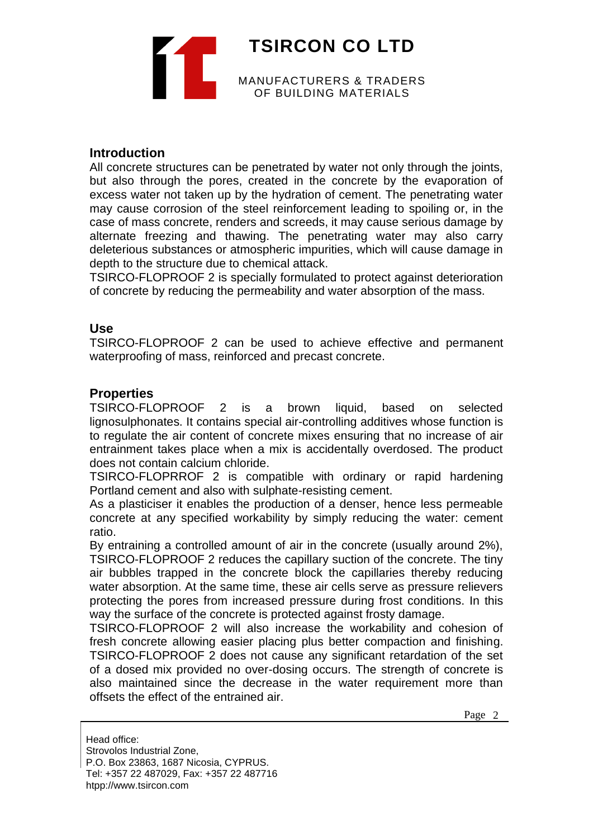**TSIRCON CO LTD** MANUFACTURERS & TRADERS OF BUILDING MATERIALS

#### **Introduction**

All concrete structures can be penetrated by water not only through the joints, but also through the pores, created in the concrete by the evaporation of excess water not taken up by the hydration of cement. The penetrating water may cause corrosion of the steel reinforcement leading to spoiling or, in the case of mass concrete, renders and screeds, it may cause serious damage by alternate freezing and thawing. The penetrating water may also carry deleterious substances or atmospheric impurities, which will cause damage in depth to the structure due to chemical attack.

TSIRCO-FLOPROOF 2 is specially formulated to protect against deterioration of concrete by reducing the permeability and water absorption of the mass.

#### **Use**

TSIRCO-FLOPROOF 2 can be used to achieve effective and permanent waterproofing of mass, reinforced and precast concrete.

#### **Properties**

TSIRCO-FLOPROOF 2 is a brown liquid, based on selected lignosulphonates. It contains special air-controlling additives whose function is to regulate the air content of concrete mixes ensuring that no increase of air entrainment takes place when a mix is accidentally overdosed. The product does not contain calcium chloride.

TSIRCO-FLOPRROF 2 is compatible with ordinary or rapid hardening Portland cement and also with sulphate-resisting cement.

As a plasticiser it enables the production of a denser, hence less permeable concrete at any specified workability by simply reducing the water: cement ratio.

By entraining a controlled amount of air in the concrete (usually around 2%), TSIRCO-FLOPROOF 2 reduces the capillary suction of the concrete. The tiny air bubbles trapped in the concrete block the capillaries thereby reducing water absorption. At the same time, these air cells serve as pressure relievers protecting the pores from increased pressure during frost conditions. In this way the surface of the concrete is protected against frosty damage.

TSIRCO-FLOPROOF 2 will also increase the workability and cohesion of fresh concrete allowing easier placing plus better compaction and finishing. TSIRCO-FLOPROOF 2 does not cause any significant retardation of the set of a dosed mix provided no over-dosing occurs. The strength of concrete is also maintained since the decrease in the water requirement more than offsets the effect of the entrained air.